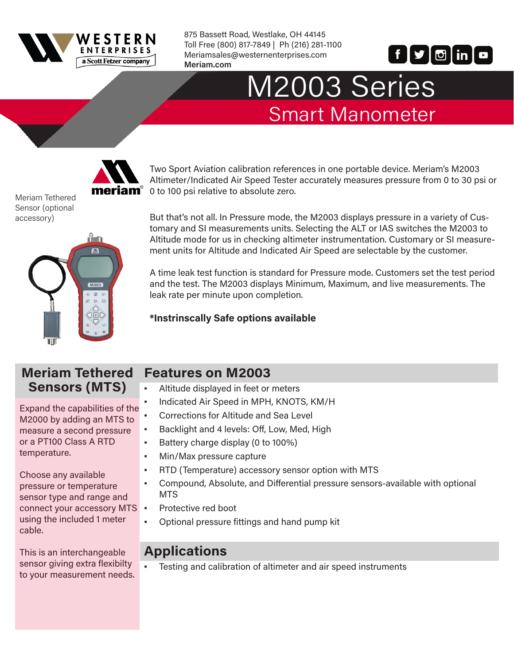

875 Bassett Road, Westlake, OH 44145 Toll Free (800) 817-7849 | Ph (216) 281-1100 Meriamsales@westernenterprises.com **Meriam.com** 



# M2003 Series Smart Manometer



Two Sport Aviation calibration references in one portable device. Meriam's M2003 Altimeter/Indicated Air Speed Tester accurately measures pressure from 0 to 30 psi or  $iam<sup>°</sup>$  0 to 100 psi relative to absolute zero.

Meriam Tethered Sensor (optional accessory)



But that's not all. In Pressure mode, the M2003 displays pressure in a variety of Customary and SI measurements units. Selecting the ALT or IAS switches the M2003 to Altitude mode for us in checking altimeter instrumentation. Customary or SI measurement units for Altitude and Indicated Air Speed are selectable by the customer.

A time leak test function is standard for Pressure mode. Customers set the test period and the test. The M2003 displays Minimum, Maximum, and live measurements. The leak rate per minute upon completion.

#### **\*Instrinscally Safe options available**

#### **Meriam Tethered Sensors (MTS)**

Expand the capabilities of the M2000 by adding an MTS to measure a second pressure or a PT100 Class A RTD temperature.

Choose any available pressure or temperature sensor type and range and connect your accessory MTS using the included 1 meter cable.

This is an interchangeable sensor giving extra flexibilty to your measurement needs.

### **Features on M2003**

- Altitude displayed in feet or meters
- Indicated Air Speed in MPH, KNOTS, KM/H
- Corrections for Altitude and Sea Level
- Backlight and 4 levels: Off, Low, Med, High
- Battery charge display (0 to 100%)
- Min/Max pressure capture
- RTD (Temperature) accessory sensor option with MTS
- Compound, Absolute, and Differential pressure sensors-available with optional **MTS**
- Protective red boot
- Optional pressure fittings and hand pump kit

### **Applications**

▪ Testing and calibration of altimeter and air speed instruments